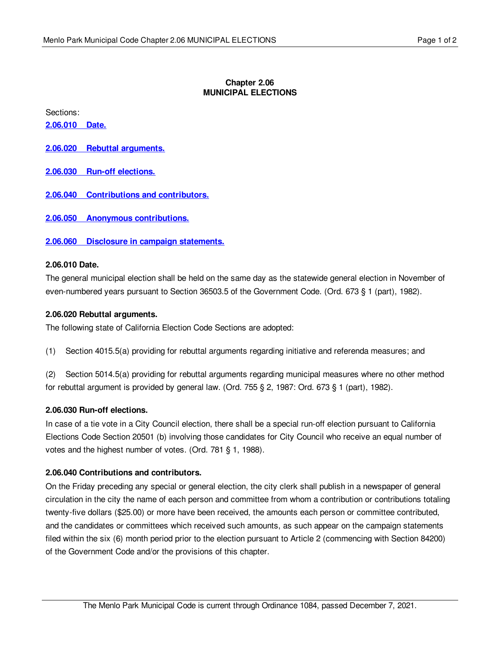### **Chapter 2.06 MUNICIPAL ELECTIONS**

Sections:

**[2.06.010](#page-0-0) Date.**

- **2.06.020 Rebuttal [arguments.](#page-0-1)**
- **2.06.030 Run-off [elections.](#page-0-2)**
- **2.06.040 [Contributions](#page-0-3) and contributors.**
- **2.06.050 Anonymous [contributions.](#page-1-0)**

**2.06.060 Disclosure in campaign [statements.](#page-1-1)**

### <span id="page-0-0"></span>**2.06.010 Date.**

The general municipal election shall be held on the same day as the statewide general election in November of even-numbered years pursuant to Section 36503.5 of the Government Code. (Ord. 673 § 1 (part), 1982).

### <span id="page-0-1"></span>**2.06.020 Rebuttal arguments.**

The following state of California Election Code Sections are adopted:

(1) Section 4015.5(a) providing for rebuttal arguments regarding initiative and referenda measures; and

(2) Section 5014.5(a) providing for rebuttal arguments regarding municipal measures where no other method for rebuttal argument is provided by general law. (Ord. 755 § 2, 1987: Ord. 673 § 1 (part), 1982).

### <span id="page-0-2"></span>**2.06.030 Run-off elections.**

In case of a tie vote in a City Council election, there shall be a special run-off election pursuant to California Elections Code Section 20501 (b) involving those candidates for City Council who receive an equal number of votes and the highest number of votes. (Ord. 781 § 1, 1988).

### <span id="page-0-3"></span>**2.06.040 Contributions and contributors.**

On the Friday preceding any special or general election, the city clerk shall publish in a newspaper of general circulation in the city the name of each person and committee from whom a contribution or contributions totaling twenty-five dollars (\$25.00) or more have been received, the amounts each person or committee contributed, and the candidates or committees which received such amounts, as such appear on the campaign statements filed within the six (6) month period prior to the election pursuant to Article 2 (commencing with Section 84200) of the Government Code and/or the provisions of this chapter.